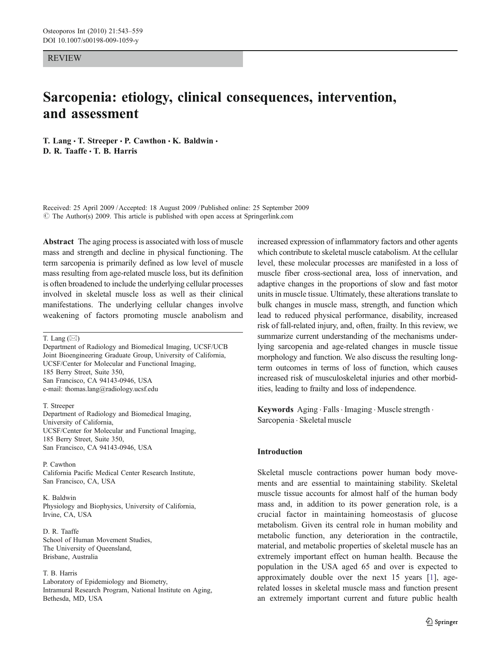#### **REVIEW**

# Sarcopenia: etiology, clinical consequences, intervention, and assessment

T. Lang  $\cdot$  T. Streeper  $\cdot$  P. Cawthon  $\cdot$  K. Baldwin  $\cdot$ D. R. Taaffe & T. B. Harris

Received: 25 April 2009 /Accepted: 18 August 2009 / Published online: 25 September 2009  $\circ$  The Author(s) 2009. This article is published with open access at Springerlink.com

Abstract The aging process is associated with loss of muscle mass and strength and decline in physical functioning. The term sarcopenia is primarily defined as low level of muscle mass resulting from age-related muscle loss, but its definition is often broadened to include the underlying cellular processes involved in skeletal muscle loss as well as their clinical manifestations. The underlying cellular changes involve weakening of factors promoting muscle anabolism and

T. Lang (*\**)

Department of Radiology and Biomedical Imaging, UCSF/UCB Joint Bioengineering Graduate Group, University of California, UCSF/Center for Molecular and Functional Imaging, 185 Berry Street, Suite 350, San Francisco, CA 94143-0946, USA e-mail: thomas.lang@radiology.ucsf.edu

T. Streeper Department of Radiology and Biomedical Imaging, University of California, UCSF/Center for Molecular and Functional Imaging, 185 Berry Street, Suite 350, San Francisco, CA 94143-0946, USA

P. Cawthon California Pacific Medical Center Research Institute, San Francisco, CA, USA

K. Baldwin Physiology and Biophysics, University of California, Irvine, CA, USA

D. R. Taaffe School of Human Movement Studies, The University of Queensland, Brisbane, Australia

T. B. Harris

Laboratory of Epidemiology and Biometry, Intramural Research Program, National Institute on Aging, Bethesda, MD, USA

increased expression of inflammatory factors and other agents which contribute to skeletal muscle catabolism. At the cellular level, these molecular processes are manifested in a loss of muscle fiber cross-sectional area, loss of innervation, and adaptive changes in the proportions of slow and fast motor units in muscle tissue. Ultimately, these alterations translate to bulk changes in muscle mass, strength, and function which lead to reduced physical performance, disability, increased risk of fall-related injury, and, often, frailty. In this review, we summarize current understanding of the mechanisms underlying sarcopenia and age-related changes in muscle tissue morphology and function. We also discuss the resulting longterm outcomes in terms of loss of function, which causes increased risk of musculoskeletal injuries and other morbidities, leading to frailty and loss of independence.

Keywords Aging . Falls . Imaging . Muscle strength . Sarcopenia . Skeletal muscle

# Introduction

Skeletal muscle contractions power human body movements and are essential to maintaining stability. Skeletal muscle tissue accounts for almost half of the human body mass and, in addition to its power generation role, is a crucial factor in maintaining homeostasis of glucose metabolism. Given its central role in human mobility and metabolic function, any deterioration in the contractile, material, and metabolic properties of skeletal muscle has an extremely important effect on human health. Because the population in the USA aged 65 and over is expected to approximately double over the next 15 years [[1\]](#page-12-0), agerelated losses in skeletal muscle mass and function present an extremely important current and future public health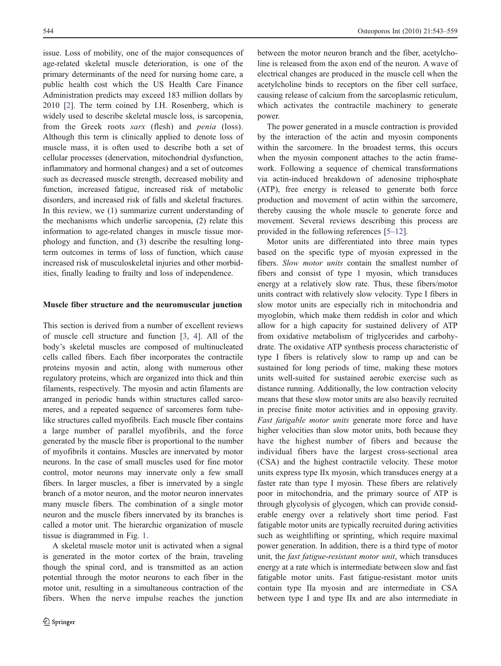issue. Loss of mobility, one of the major consequences of age-related skeletal muscle deterioration, is one of the primary determinants of the need for nursing home care, a public health cost which the US Health Care Finance Administration predicts may exceed 183 million dollars by 2010 [\[2](#page-12-0)]. The term coined by I.H. Rosenberg, which is widely used to describe skeletal muscle loss, is sarcopenia, from the Greek roots sarx (flesh) and *penia* (loss). Although this term is clinically applied to denote loss of muscle mass, it is often used to describe both a set of cellular processes (denervation, mitochondrial dysfunction, inflammatory and hormonal changes) and a set of outcomes such as decreased muscle strength, decreased mobility and function, increased fatigue, increased risk of metabolic disorders, and increased risk of falls and skeletal fractures. In this review, we (1) summarize current understanding of the mechanisms which underlie sarcopenia, (2) relate this information to age-related changes in muscle tissue morphology and function, and (3) describe the resulting longterm outcomes in terms of loss of function, which cause increased risk of musculoskeletal injuries and other morbidities, finally leading to frailty and loss of independence.

### Muscle fiber structure and the neuromuscular junction

This section is derived from a number of excellent reviews of muscle cell structure and function [\[3](#page-12-0), [4](#page-13-0)]. All of the body's skeletal muscles are composed of multinucleated cells called fibers. Each fiber incorporates the contractile proteins myosin and actin, along with numerous other regulatory proteins, which are organized into thick and thin filaments, respectively. The myosin and actin filaments are arranged in periodic bands within structures called sarcomeres, and a repeated sequence of sarcomeres form tubelike structures called myofibrils. Each muscle fiber contains a large number of parallel myofibrils, and the force generated by the muscle fiber is proportional to the number of myofibrils it contains. Muscles are innervated by motor neurons. In the case of small muscles used for fine motor control, motor neurons may innervate only a few small fibers. In larger muscles, a fiber is innervated by a single branch of a motor neuron, and the motor neuron innervates many muscle fibers. The combination of a single motor neuron and the muscle fibers innervated by its branches is called a motor unit. The hierarchic organization of muscle tissue is diagrammed in Fig. [1](#page-2-0).

A skeletal muscle motor unit is activated when a signal is generated in the motor cortex of the brain, traveling though the spinal cord, and is transmitted as an action potential through the motor neurons to each fiber in the motor unit, resulting in a simultaneous contraction of the fibers. When the nerve impulse reaches the junction

between the motor neuron branch and the fiber, acetylcholine is released from the axon end of the neuron. A wave of electrical changes are produced in the muscle cell when the acetylcholine binds to receptors on the fiber cell surface, causing release of calcium from the sarcoplasmic reticulum, which activates the contractile machinery to generate power.

The power generated in a muscle contraction is provided by the interaction of the actin and myosin components within the sarcomere. In the broadest terms, this occurs when the myosin component attaches to the actin framework. Following a sequence of chemical transformations via actin-induced breakdown of adenosine triphosphate (ATP), free energy is released to generate both force production and movement of actin within the sarcomere, thereby causing the whole muscle to generate force and movement. Several reviews describing this process are provided in the following references [[5](#page-13-0)–[12\]](#page-13-0).

Motor units are differentiated into three main types based on the specific type of myosin expressed in the fibers. Slow motor units contain the smallest number of fibers and consist of type 1 myosin, which transduces energy at a relatively slow rate. Thus, these fibers/motor units contract with relatively slow velocity. Type I fibers in slow motor units are especially rich in mitochondria and myoglobin, which make them reddish in color and which allow for a high capacity for sustained delivery of ATP from oxidative metabolism of triglycerides and carbohydrate. The oxidative ATP synthesis process characteristic of type I fibers is relatively slow to ramp up and can be sustained for long periods of time, making these motors units well-suited for sustained aerobic exercise such as distance running. Additionally, the low contraction velocity means that these slow motor units are also heavily recruited in precise finite motor activities and in opposing gravity. Fast fatigable motor units generate more force and have higher velocities than slow motor units, both because they have the highest number of fibers and because the individual fibers have the largest cross-sectional area (CSA) and the highest contractile velocity. These motor units express type IIx myosin, which transduces energy at a faster rate than type I myosin. These fibers are relatively poor in mitochondria, and the primary source of ATP is through glycolysis of glycogen, which can provide considerable energy over a relatively short time period. Fast fatigable motor units are typically recruited during activities such as weightlifting or sprinting, which require maximal power generation. In addition, there is a third type of motor unit, the fast fatigue-resistant motor unit, which transduces energy at a rate which is intermediate between slow and fast fatigable motor units. Fast fatigue-resistant motor units contain type IIa myosin and are intermediate in CSA between type I and type IIx and are also intermediate in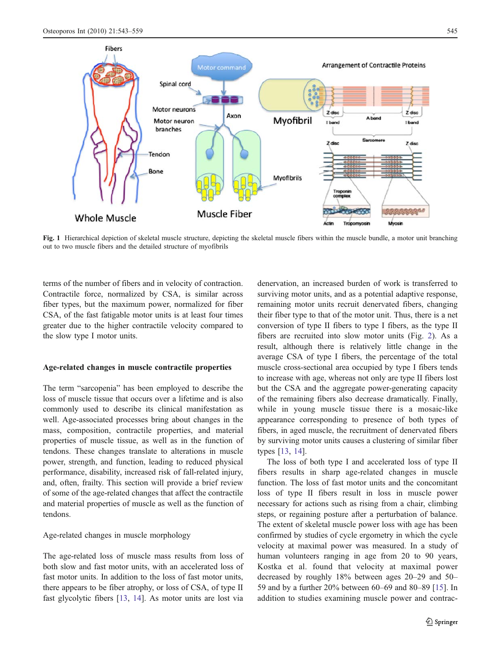<span id="page-2-0"></span>

Fig. 1 Hierarchical depiction of skeletal muscle structure, depicting the skeletal muscle fibers within the muscle bundle, a motor unit branching out to two muscle fibers and the detailed structure of myofibrils

terms of the number of fibers and in velocity of contraction. Contractile force, normalized by CSA, is similar across fiber types, but the maximum power, normalized for fiber CSA, of the fast fatigable motor units is at least four times greater due to the higher contractile velocity compared to the slow type I motor units.

### Age-related changes in muscle contractile properties

The term "sarcopenia" has been employed to describe the loss of muscle tissue that occurs over a lifetime and is also commonly used to describe its clinical manifestation as well. Age-associated processes bring about changes in the mass, composition, contractile properties, and material properties of muscle tissue, as well as in the function of tendons. These changes translate to alterations in muscle power, strength, and function, leading to reduced physical performance, disability, increased risk of fall-related injury, and, often, frailty. This section will provide a brief review of some of the age-related changes that affect the contractile and material properties of muscle as well as the function of tendons.

#### Age-related changes in muscle morphology

The age-related loss of muscle mass results from loss of both slow and fast motor units, with an accelerated loss of fast motor units. In addition to the loss of fast motor units, there appears to be fiber atrophy, or loss of CSA, of type II fast glycolytic fibers [[13,](#page-13-0) [14](#page-13-0)]. As motor units are lost via

denervation, an increased burden of work is transferred to surviving motor units, and as a potential adaptive response, remaining motor units recruit denervated fibers, changing their fiber type to that of the motor unit. Thus, there is a net conversion of type II fibers to type I fibers, as the type II fibers are recruited into slow motor units (Fig. [2\)](#page-3-0). As a result, although there is relatively little change in the average CSA of type I fibers, the percentage of the total muscle cross-sectional area occupied by type I fibers tends to increase with age, whereas not only are type II fibers lost but the CSA and the aggregate power-generating capacity of the remaining fibers also decrease dramatically. Finally, while in young muscle tissue there is a mosaic-like appearance corresponding to presence of both types of fibers, in aged muscle, the recruitment of denervated fibers by surviving motor units causes a clustering of similar fiber types [[13,](#page-13-0) [14](#page-13-0)].

The loss of both type I and accelerated loss of type II fibers results in sharp age-related changes in muscle function. The loss of fast motor units and the concomitant loss of type II fibers result in loss in muscle power necessary for actions such as rising from a chair, climbing steps, or regaining posture after a perturbation of balance. The extent of skeletal muscle power loss with age has been confirmed by studies of cycle ergometry in which the cycle velocity at maximal power was measured. In a study of human volunteers ranging in age from 20 to 90 years, Kostka et al. found that velocity at maximal power decreased by roughly 18% between ages 20–29 and 50– 59 and by a further 20% between 60–69 and 80–89 [\[15](#page-13-0)]. In addition to studies examining muscle power and contrac-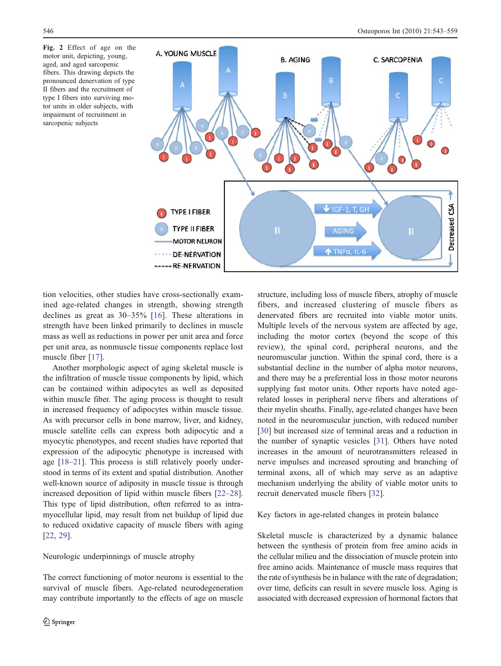<span id="page-3-0"></span>Fig. 2 Effect of age on the motor unit, depicting, young, aged, and aged sarcopenic fibers. This drawing depicts the pronounced denervation of type II fibers and the recruitment of type I fibers into surviving motor units in older subjects, with impairment of recruitment in sarcopenic subjects



tion velocities, other studies have cross-sectionally examined age-related changes in strength, showing strength declines as great as 30–35% [[16\]](#page-13-0). These alterations in strength have been linked primarily to declines in muscle mass as well as reductions in power per unit area and force per unit area, as nonmuscle tissue components replace lost muscle fiber [[17\]](#page-13-0).

Another morphologic aspect of aging skeletal muscle is the infiltration of muscle tissue components by lipid, which can be contained within adipocytes as well as deposited within muscle fiber. The aging process is thought to result in increased frequency of adipocytes within muscle tissue. As with precursor cells in bone marrow, liver, and kidney, muscle satellite cells can express both adipocytic and a myocytic phenotypes, and recent studies have reported that expression of the adipocytic phenotype is increased with age [\[18](#page-13-0)–[21](#page-13-0)]. This process is still relatively poorly understood in terms of its extent and spatial distribution. Another well-known source of adiposity in muscle tissue is through increased deposition of lipid within muscle fibers [\[22](#page-13-0)–[28](#page-13-0)]. This type of lipid distribution, often referred to as intramyocellular lipid, may result from net buildup of lipid due to reduced oxidative capacity of muscle fibers with aging [\[22](#page-13-0), [29\]](#page-13-0).

# Neurologic underpinnings of muscle atrophy

The correct functioning of motor neurons is essential to the survival of muscle fibers. Age-related neurodegeneration may contribute importantly to the effects of age on muscle structure, including loss of muscle fibers, atrophy of muscle fibers, and increased clustering of muscle fibers as denervated fibers are recruited into viable motor units. Multiple levels of the nervous system are affected by age, including the motor cortex (beyond the scope of this review), the spinal cord, peripheral neurons, and the neuromuscular junction. Within the spinal cord, there is a substantial decline in the number of alpha motor neurons, and there may be a preferential loss in those motor neurons supplying fast motor units. Other reports have noted agerelated losses in peripheral nerve fibers and alterations of their myelin sheaths. Finally, age-related changes have been noted in the neuromuscular junction, with reduced number [\[30](#page-13-0)] but increased size of terminal areas and a reduction in the number of synaptic vesicles [\[31](#page-13-0)]. Others have noted increases in the amount of neurotransmitters released in nerve impulses and increased sprouting and branching of terminal axons, all of which may serve as an adaptive mechanism underlying the ability of viable motor units to recruit denervated muscle fibers [[32\]](#page-13-0).

# Key factors in age-related changes in protein balance

Skeletal muscle is characterized by a dynamic balance between the synthesis of protein from free amino acids in the cellular milieu and the dissociation of muscle protein into free amino acids. Maintenance of muscle mass requires that the rate of synthesis be in balance with the rate of degradation; over time, deficits can result in severe muscle loss. Aging is associated with decreased expression of hormonal factors that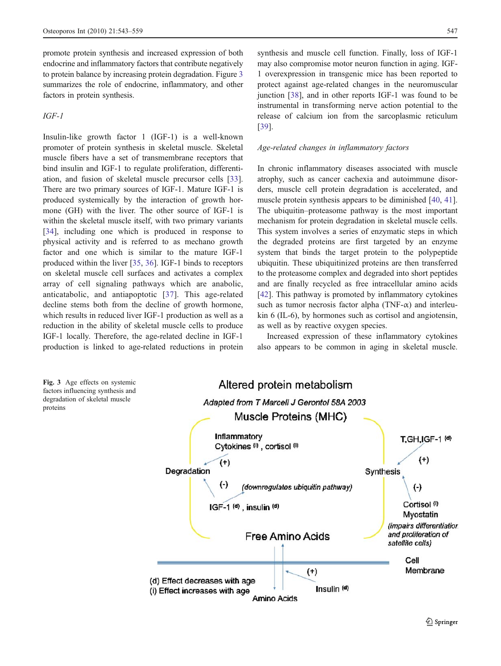promote protein synthesis and increased expression of both endocrine and inflammatory factors that contribute negatively to protein balance by increasing protein degradation. Figure 3 summarizes the role of endocrine, inflammatory, and other factors in protein synthesis.

IGF-1

Insulin-like growth factor 1 (IGF-1) is a well-known promoter of protein synthesis in skeletal muscle. Skeletal muscle fibers have a set of transmembrane receptors that bind insulin and IGF-1 to regulate proliferation, differentiation, and fusion of skeletal muscle precursor cells [\[33](#page-13-0)]. There are two primary sources of IGF-1. Mature IGF-1 is produced systemically by the interaction of growth hormone (GH) with the liver. The other source of IGF-1 is within the skeletal muscle itself, with two primary variants [\[34](#page-13-0)], including one which is produced in response to physical activity and is referred to as mechano growth factor and one which is similar to the mature IGF-1 produced within the liver [[35,](#page-13-0) [36\]](#page-13-0). IGF-1 binds to receptors on skeletal muscle cell surfaces and activates a complex array of cell signaling pathways which are anabolic, anticatabolic, and antiapoptotic [[37\]](#page-13-0). This age-related decline stems both from the decline of growth hormone, which results in reduced liver IGF-1 production as well as a reduction in the ability of skeletal muscle cells to produce IGF-1 locally. Therefore, the age-related decline in IGF-1 production is linked to age-related reductions in protein synthesis and muscle cell function. Finally, loss of IGF-1 may also compromise motor neuron function in aging. IGF-1 overexpression in transgenic mice has been reported to protect against age-related changes in the neuromuscular junction [[38\]](#page-13-0), and in other reports IGF-1 was found to be instrumental in transforming nerve action potential to the release of calcium ion from the sarcoplasmic reticulum [\[39](#page-13-0)].

#### Age-related changes in inflammatory factors

In chronic inflammatory diseases associated with muscle atrophy, such as cancer cachexia and autoimmune disorders, muscle cell protein degradation is accelerated, and muscle protein synthesis appears to be diminished [\[40](#page-13-0), [41\]](#page-13-0). The ubiquitin–proteasome pathway is the most important mechanism for protein degradation in skeletal muscle cells. This system involves a series of enzymatic steps in which the degraded proteins are first targeted by an enzyme system that binds the target protein to the polypeptide ubiquitin. These ubiquitinized proteins are then transferred to the proteasome complex and degraded into short peptides and are finally recycled as free intracellular amino acids [\[42](#page-13-0)]. This pathway is promoted by inflammatory cytokines such as tumor necrosis factor alpha (TNF- $\alpha$ ) and interleukin 6 (IL-6), by hormones such as cortisol and angiotensin, as well as by reactive oxygen species.

Increased expression of these inflammatory cytokines also appears to be common in aging in skeletal muscle.

Fig. 3 Age effects on systemic factors influencing synthesis and degradation of skeletal muscle proteins

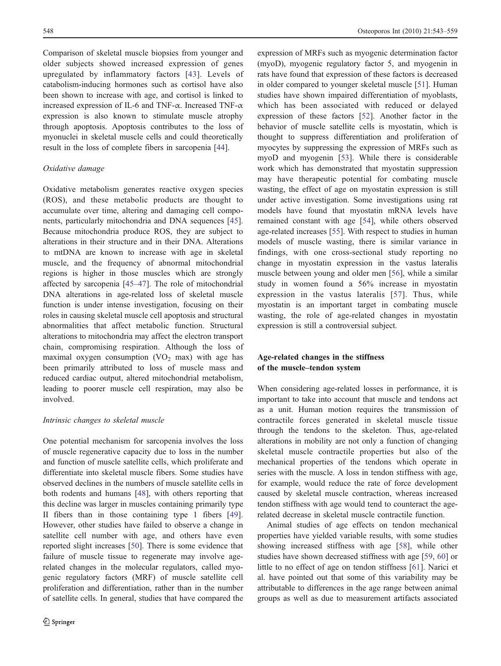Comparison of skeletal muscle biopsies from younger and older subjects showed increased expression of genes upregulated by inflammatory factors [[43](#page-13-0)]. Levels of catabolism-inducing hormones such as cortisol have also been shown to increase with age, and cortisol is linked to increased expression of IL-6 and TNF- $\alpha$ . Increased TNF- $\alpha$ expression is also known to stimulate muscle atrophy through apoptosis. Apoptosis contributes to the loss of myonuclei in skeletal muscle cells and could theoretically result in the loss of complete fibers in sarcopenia [\[44](#page-13-0)].

# Oxidative damage

Oxidative metabolism generates reactive oxygen species (ROS), and these metabolic products are thought to accumulate over time, altering and damaging cell components, particularly mitochondria and DNA sequences [\[45](#page-13-0)]. Because mitochondria produce ROS, they are subject to alterations in their structure and in their DNA. Alterations to mtDNA are known to increase with age in skeletal muscle, and the frequency of abnormal mitochondrial regions is higher in those muscles which are strongly affected by sarcopenia [\[45](#page-13-0)–[47](#page-13-0)]. The role of mitochondrial DNA alterations in age-related loss of skeletal muscle function is under intense investigation, focusing on their roles in causing skeletal muscle cell apoptosis and structural abnormalities that affect metabolic function. Structural alterations to mitochondria may affect the electron transport chain, compromising respiration. Although the loss of maximal oxygen consumption  $(VO<sub>2</sub>$  max) with age has been primarily attributed to loss of muscle mass and reduced cardiac output, altered mitochondrial metabolism, leading to poorer muscle cell respiration, may also be involved.

# Intrinsic changes to skeletal muscle

One potential mechanism for sarcopenia involves the loss of muscle regenerative capacity due to loss in the number and function of muscle satellite cells, which proliferate and differentiate into skeletal muscle fibers. Some studies have observed declines in the numbers of muscle satellite cells in both rodents and humans [[48\]](#page-14-0), with others reporting that this decline was larger in muscles containing primarily type II fibers than in those containing type 1 fibers [\[49](#page-14-0)]. However, other studies have failed to observe a change in satellite cell number with age, and others have even reported slight increases [[50\]](#page-14-0). There is some evidence that failure of muscle tissue to regenerate may involve agerelated changes in the molecular regulators, called myogenic regulatory factors (MRF) of muscle satellite cell proliferation and differentiation, rather than in the number of satellite cells. In general, studies that have compared the

expression of MRFs such as myogenic determination factor (myoD), myogenic regulatory factor 5, and myogenin in rats have found that expression of these factors is decreased in older compared to younger skeletal muscle [\[51](#page-14-0)]. Human studies have shown impaired differentiation of myoblasts, which has been associated with reduced or delayed expression of these factors [\[52](#page-14-0)]. Another factor in the behavior of muscle satellite cells is myostatin, which is thought to suppress differentiation and proliferation of myocytes by suppressing the expression of MRFs such as myoD and myogenin [\[53](#page-14-0)]. While there is considerable work which has demonstrated that myostatin suppression may have therapeutic potential for combating muscle wasting, the effect of age on myostatin expression is still under active investigation. Some investigations using rat models have found that myostatin mRNA levels have remained constant with age [\[54](#page-14-0)], while others observed age-related increases [[55\]](#page-14-0). With respect to studies in human models of muscle wasting, there is similar variance in findings, with one cross-sectional study reporting no change in myostatin expression in the vastus lateralis muscle between young and older men [[56\]](#page-14-0), while a similar study in women found a 56% increase in myostatin expression in the vastus lateralis [[57](#page-14-0)]. Thus, while myostatin is an important target in combating muscle wasting, the role of age-related changes in myostatin expression is still a controversial subject.

# Age-related changes in the stiffness of the muscle*–*tendon system

When considering age-related losses in performance, it is important to take into account that muscle and tendons act as a unit. Human motion requires the transmission of contractile forces generated in skeletal muscle tissue through the tendons to the skeleton. Thus, age-related alterations in mobility are not only a function of changing skeletal muscle contractile properties but also of the mechanical properties of the tendons which operate in series with the muscle. A loss in tendon stiffness with age, for example, would reduce the rate of force development caused by skeletal muscle contraction, whereas increased tendon stiffness with age would tend to counteract the agerelated decrease in skeletal muscle contractile function.

Animal studies of age effects on tendon mechanical properties have yielded variable results, with some studies showing increased stiffness with age [\[58](#page-14-0)], while other studies have shown decreased stiffness with age [[59,](#page-14-0) [60\]](#page-14-0) or little to no effect of age on tendon stiffness [[61\]](#page-14-0). Narici et al. have pointed out that some of this variability may be attributable to differences in the age range between animal groups as well as due to measurement artifacts associated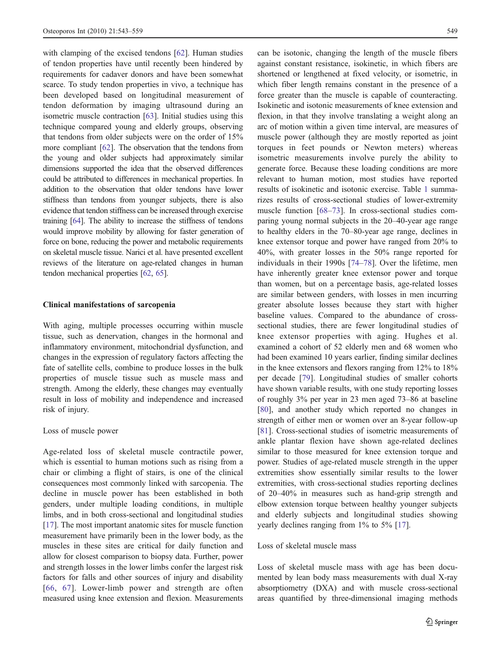with clamping of the excised tendons [[62\]](#page-14-0). Human studies of tendon properties have until recently been hindered by requirements for cadaver donors and have been somewhat scarce. To study tendon properties in vivo, a technique has been developed based on longitudinal measurement of tendon deformation by imaging ultrasound during an isometric muscle contraction [\[63](#page-14-0)]. Initial studies using this technique compared young and elderly groups, observing that tendons from older subjects were on the order of 15% more compliant [[62\]](#page-14-0). The observation that the tendons from the young and older subjects had approximately similar dimensions supported the idea that the observed differences could be attributed to differences in mechanical properties. In addition to the observation that older tendons have lower stiffness than tendons from younger subjects, there is also evidence that tendon stiffness can be increased through exercise training [\[64](#page-14-0)]. The ability to increase the stiffness of tendons would improve mobility by allowing for faster generation of force on bone, reducing the power and metabolic requirements on skeletal muscle tissue. Narici et al. have presented excellent reviews of the literature on age-related changes in human tendon mechanical properties [\[62,](#page-14-0) [65\]](#page-14-0).

### Clinical manifestations of sarcopenia

With aging, multiple processes occurring within muscle tissue, such as denervation, changes in the hormonal and inflammatory environment, mitochondrial dysfunction, and changes in the expression of regulatory factors affecting the fate of satellite cells, combine to produce losses in the bulk properties of muscle tissue such as muscle mass and strength. Among the elderly, these changes may eventually result in loss of mobility and independence and increased risk of injury.

# Loss of muscle power

Age-related loss of skeletal muscle contractile power, which is essential to human motions such as rising from a chair or climbing a flight of stairs, is one of the clinical consequences most commonly linked with sarcopenia. The decline in muscle power has been established in both genders, under multiple loading conditions, in multiple limbs, and in both cross-sectional and longitudinal studies [\[17](#page-13-0)]. The most important anatomic sites for muscle function measurement have primarily been in the lower body, as the muscles in these sites are critical for daily function and allow for closest comparison to biopsy data. Further, power and strength losses in the lower limbs confer the largest risk factors for falls and other sources of injury and disability [\[66](#page-14-0), [67\]](#page-14-0). Lower-limb power and strength are often measured using knee extension and flexion. Measurements

can be isotonic, changing the length of the muscle fibers against constant resistance, isokinetic, in which fibers are shortened or lengthened at fixed velocity, or isometric, in which fiber length remains constant in the presence of a force greater than the muscle is capable of counteracting. Isokinetic and isotonic measurements of knee extension and flexion, in that they involve translating a weight along an arc of motion within a given time interval, are measures of muscle power (although they are mostly reported as joint torques in feet pounds or Newton meters) whereas isometric measurements involve purely the ability to generate force. Because these loading conditions are more relevant to human motion, most studies have reported results of isokinetic and isotonic exercise. Table [1](#page-7-0) summarizes results of cross-sectional studies of lower-extremity muscle function [[68](#page-14-0)–[73\]](#page-14-0). In cross-sectional studies comparing young normal subjects in the 20–40-year age range to healthy elders in the 70–80-year age range, declines in knee extensor torque and power have ranged from 20% to 40%, with greater losses in the 50% range reported for individuals in their 1990s [\[74](#page-14-0)–[78](#page-14-0)]. Over the lifetime, men have inherently greater knee extensor power and torque than women, but on a percentage basis, age-related losses are similar between genders, with losses in men incurring greater absolute losses because they start with higher baseline values. Compared to the abundance of crosssectional studies, there are fewer longitudinal studies of knee extensor properties with aging. Hughes et al. examined a cohort of 52 elderly men and 68 women who had been examined 10 years earlier, finding similar declines in the knee extensors and flexors ranging from 12% to 18% per decade [\[79](#page-14-0)]. Longitudinal studies of smaller cohorts have shown variable results, with one study reporting losses of roughly 3% per year in 23 men aged 73–86 at baseline [\[80](#page-14-0)], and another study which reported no changes in strength of either men or women over an 8-year follow-up [\[81](#page-14-0)]. Cross-sectional studies of isometric measurements of ankle plantar flexion have shown age-related declines similar to those measured for knee extension torque and power. Studies of age-related muscle strength in the upper extremities show essentially similar results to the lower extremities, with cross-sectional studies reporting declines of 20–40% in measures such as hand-grip strength and elbow extension torque between healthy younger subjects and elderly subjects and longitudinal studies showing yearly declines ranging from 1% to 5% [[17\]](#page-13-0).

#### Loss of skeletal muscle mass

Loss of skeletal muscle mass with age has been documented by lean body mass measurements with dual X-ray absorptiometry (DXA) and with muscle cross-sectional areas quantified by three-dimensional imaging methods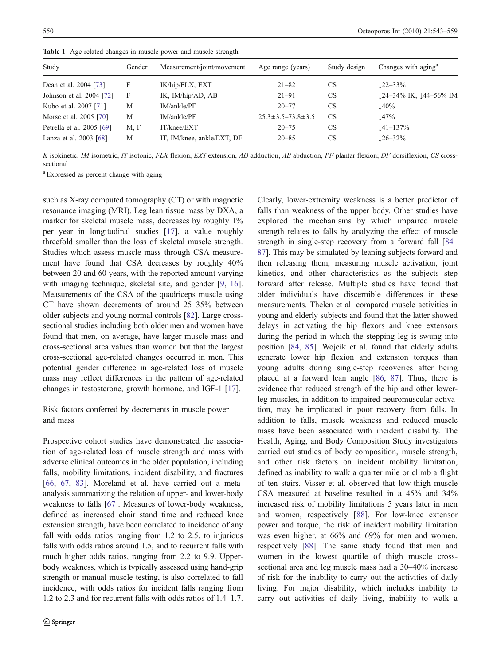| Study                     | Gender | Measurement/joint/movement | Age range (years)             | Study design | Changes with aging <sup>a</sup>                |  |
|---------------------------|--------|----------------------------|-------------------------------|--------------|------------------------------------------------|--|
| Dean et al. 2004 [73]     | F      | IK/hip/FLX, EXT            | $21 - 82$                     | <b>CS</b>    | $122 - 33\%$                                   |  |
| Johnson et al. 2004 [72]  | F      | IK, IM/hip/AD, AB          | $21 - 91$                     | <b>CS</b>    | $\downarrow$ 24–34% IK, $\downarrow$ 44–56% IM |  |
| Kubo et al. 2007 [71]     | М      | IM/ankle/PF                | $20 - 77$                     | <b>CS</b>    | $140\%$                                        |  |
| Morse et al. 2005 [70]    | М      | IM/ankle/PF                | $25.3 \pm 3.5 - 73.8 \pm 3.5$ | <b>CS</b>    | 147%                                           |  |
| Petrella et al. 2005 [69] | M, F   | IT/knee/EXT                | $20 - 75$                     | <b>CS</b>    | $\downarrow$ 41-137%                           |  |
| Lanza et al. 2003 [68]    | М      | IT, IM/knee, ankle/EXT, DF | $20 - 85$                     | <b>CS</b>    | $126 - 32\%$                                   |  |

<span id="page-7-0"></span>Table 1 Age-related changes in muscle power and muscle strength

K isokinetic, IM isometric, IT isotonic, FLX flexion, EXT extension, AD adduction, AB abduction, PF plantar flexion; DF dorsiflexion, CS crosssectional

a Expressed as percent change with aging

such as X-ray computed tomography (CT) or with magnetic resonance imaging (MRI). Leg lean tissue mass by DXA, a marker for skeletal muscle mass, decreases by roughly 1% per year in longitudinal studies [\[17](#page-13-0)], a value roughly threefold smaller than the loss of skeletal muscle strength. Studies which assess muscle mass through CSA measurement have found that CSA decreases by roughly 40% between 20 and 60 years, with the reported amount varying with imaging technique, skeletal site, and gender [[9,](#page-13-0) [16](#page-13-0)]. Measurements of the CSA of the quadriceps muscle using CT have shown decrements of around 25–35% between older subjects and young normal controls [[82\]](#page-14-0). Large crosssectional studies including both older men and women have found that men, on average, have larger muscle mass and cross-sectional area values than women but that the largest cross-sectional age-related changes occurred in men. This potential gender difference in age-related loss of muscle mass may reflect differences in the pattern of age-related changes in testosterone, growth hormone, and IGF-1 [[17\]](#page-13-0).

Risk factors conferred by decrements in muscle power and mass

Prospective cohort studies have demonstrated the association of age-related loss of muscle strength and mass with adverse clinical outcomes in the older population, including falls, mobility limitations, incident disability, and fractures [\[66](#page-14-0), [67](#page-14-0), [83\]](#page-14-0). Moreland et al. have carried out a metaanalysis summarizing the relation of upper- and lower-body weakness to falls [\[67](#page-14-0)]. Measures of lower-body weakness, defined as increased chair stand time and reduced knee extension strength, have been correlated to incidence of any fall with odds ratios ranging from 1.2 to 2.5, to injurious falls with odds ratios around 1.5, and to recurrent falls with much higher odds ratios, ranging from 2.2 to 9.9. Upperbody weakness, which is typically assessed using hand-grip strength or manual muscle testing, is also correlated to fall incidence, with odds ratios for incident falls ranging from 1.2 to 2.3 and for recurrent falls with odds ratios of 1.4–1.7.

Clearly, lower-extremity weakness is a better predictor of falls than weakness of the upper body. Other studies have explored the mechanisms by which impaired muscle strength relates to falls by analyzing the effect of muscle strength in single-step recovery from a forward fall [\[84](#page-14-0)– [87](#page-14-0)]. This may be simulated by leaning subjects forward and then releasing them, measuring muscle activation, joint kinetics, and other characteristics as the subjects step forward after release. Multiple studies have found that older individuals have discernible differences in these measurements. Thelen et al. compared muscle activities in young and elderly subjects and found that the latter showed delays in activating the hip flexors and knee extensors during the period in which the stepping leg is swung into position [[84,](#page-14-0) [85\]](#page-14-0). Wojcik et al. found that elderly adults generate lower hip flexion and extension torques than young adults during single-step recoveries after being placed at a forward lean angle [[86,](#page-14-0) [87](#page-14-0)]. Thus, there is evidence that reduced strength of the hip and other lowerleg muscles, in addition to impaired neuromuscular activation, may be implicated in poor recovery from falls. In addition to falls, muscle weakness and reduced muscle mass have been associated with incident disability. The Health, Aging, and Body Composition Study investigators carried out studies of body composition, muscle strength, and other risk factors on incident mobility limitation, defined as inability to walk a quarter mile or climb a flight of ten stairs. Visser et al. observed that low-thigh muscle CSA measured at baseline resulted in a 45% and 34% increased risk of mobility limitations 5 years later in men and women, respectively [[88\]](#page-14-0). For low-knee extensor power and torque, the risk of incident mobility limitation was even higher, at 66% and 69% for men and women, respectively [[88\]](#page-14-0). The same study found that men and women in the lowest quartile of thigh muscle crosssectional area and leg muscle mass had a 30–40% increase of risk for the inability to carry out the activities of daily living. For major disability, which includes inability to carry out activities of daily living, inability to walk a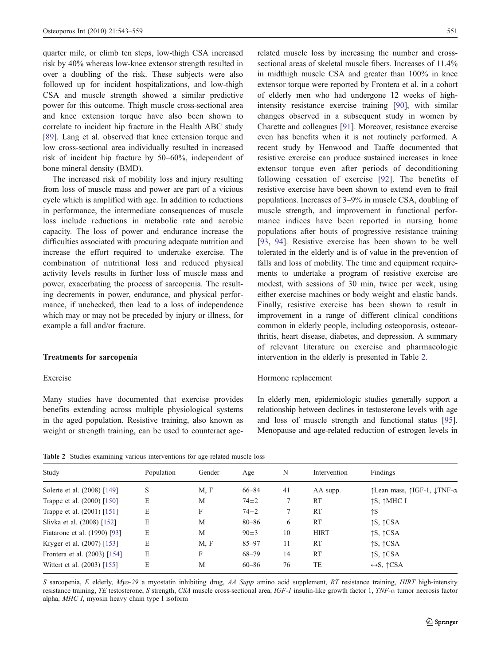quarter mile, or climb ten steps, low-thigh CSA increased risk by 40% whereas low-knee extensor strength resulted in over a doubling of the risk. These subjects were also followed up for incident hospitalizations, and low-thigh CSA and muscle strength showed a similar predictive power for this outcome. Thigh muscle cross-sectional area and knee extension torque have also been shown to correlate to incident hip fracture in the Health ABC study [\[89](#page-15-0)]. Lang et al. observed that knee extension torque and low cross-sectional area individually resulted in increased risk of incident hip fracture by 50–60%, independent of bone mineral density (BMD).

The increased risk of mobility loss and injury resulting from loss of muscle mass and power are part of a vicious cycle which is amplified with age. In addition to reductions in performance, the intermediate consequences of muscle loss include reductions in metabolic rate and aerobic capacity. The loss of power and endurance increase the difficulties associated with procuring adequate nutrition and increase the effort required to undertake exercise. The combination of nutritional loss and reduced physical activity levels results in further loss of muscle mass and power, exacerbating the process of sarcopenia. The resulting decrements in power, endurance, and physical performance, if unchecked, then lead to a loss of independence which may or may not be preceded by injury or illness, for example a fall and/or fracture.

# Treatments for sarcopenia

# Exercise

Many studies have documented that exercise provides benefits extending across multiple physiological systems in the aged population. Resistive training, also known as weight or strength training, can be used to counteract agerelated muscle loss by increasing the number and crosssectional areas of skeletal muscle fibers. Increases of 11.4% in midthigh muscle CSA and greater than 100% in knee extensor torque were reported by Frontera et al. in a cohort of elderly men who had undergone 12 weeks of highintensity resistance exercise training [[90\]](#page-15-0), with similar changes observed in a subsequent study in women by Charette and colleagues [[91\]](#page-15-0). Moreover, resistance exercise even has benefits when it is not routinely performed. A recent study by Henwood and Taaffe documented that resistive exercise can produce sustained increases in knee extensor torque even after periods of deconditioning following cessation of exercise [[92](#page-15-0)]. The benefits of resistive exercise have been shown to extend even to frail populations. Increases of 3–9% in muscle CSA, doubling of muscle strength, and improvement in functional performance indices have been reported in nursing home populations after bouts of progressive resistance training [\[93](#page-15-0), [94\]](#page-15-0). Resistive exercise has been shown to be well tolerated in the elderly and is of value in the prevention of falls and loss of mobility. The time and equipment requirements to undertake a program of resistive exercise are modest, with sessions of 30 min, twice per week, using either exercise machines or body weight and elastic bands. Finally, resistive exercise has been shown to result in improvement in a range of different clinical conditions common in elderly people, including osteoporosis, osteoarthritis, heart disease, diabetes, and depression. A summary of relevant literature on exercise and pharmacologic intervention in the elderly is presented in Table 2.

# Hormone replacement

In elderly men, epidemiologic studies generally support a relationship between declines in testosterone levels with age and loss of muscle strength and functional status [[95\]](#page-15-0). Menopause and age-related reduction of estrogen levels in

Table 2 Studies examining various interventions for age-related muscle loss

| Study                        | Population | Gender | Age        | N  | Intervention | Findings                                                           |
|------------------------------|------------|--------|------------|----|--------------|--------------------------------------------------------------------|
| Solerte et al. (2008) [149]  | S          | M, F   | 66–84      | 41 | AA supp.     | $\uparrow$ Lean mass, $\uparrow$ IGF-1, $\downarrow$ TNF- $\alpha$ |
| Trappe et al. (2000) [150]   | E          | M      | $74 \pm 2$ | 7  | RT           | $\uparrow$ S; $\uparrow$ MHC I                                     |
| Trappe et al. (2001) [151]   | E          | F      | $74 \pm 2$ | 7  | <b>RT</b>    | $\uparrow$ S                                                       |
| Slivka et al. (2008) [152]   | Е          | M      | $80 - 86$  | 6  | <b>RT</b>    | $\uparrow$ S, $\uparrow$ CSA                                       |
| Fiatarone et al. (1990) [93] | Е          | М      | $90 \pm 3$ | 10 | <b>HIRT</b>  | $\uparrow$ S, $\uparrow$ CSA                                       |
| Kryger et al. (2007) [153]   | E          | M, F   | $85 - 97$  | 11 | <b>RT</b>    | $\uparrow$ S, $\uparrow$ CSA                                       |
| Frontera et al. (2003) [154] | E          | F      | $68 - 79$  | 14 | <b>RT</b>    | $\uparrow$ S, $\uparrow$ CSA                                       |
| Wittert et al. (2003) [155]  | Е          | М      | $60 - 86$  | 76 | TE           | $\leftrightarrow$ S, $\uparrow$ CSA                                |
|                              |            |        |            |    |              |                                                                    |

S sarcopenia, E elderly, Myo-29 a myostatin inhibiting drug, AA Supp amino acid supplement, RT resistance training, HIRT high-intensity resistance training, TE testosterone, S strength, CSA muscle cross-sectional area, IGF-1 insulin-like growth factor 1,  $TNF-\alpha$  tumor necrosis factor alpha, MHC I, myosin heavy chain type I isoform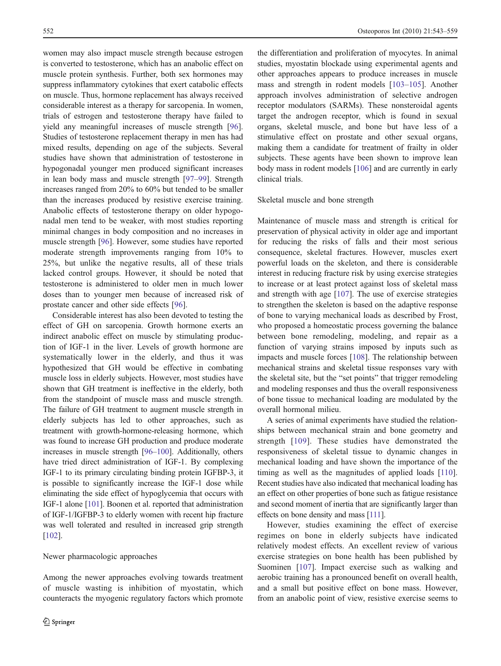women may also impact muscle strength because estrogen is converted to testosterone, which has an anabolic effect on muscle protein synthesis. Further, both sex hormones may suppress inflammatory cytokines that exert catabolic effects on muscle. Thus, hormone replacement has always received considerable interest as a therapy for sarcopenia. In women, trials of estrogen and testosterone therapy have failed to yield any meaningful increases of muscle strength [\[96](#page-15-0)]. Studies of testosterone replacement therapy in men has had mixed results, depending on age of the subjects. Several studies have shown that administration of testosterone in hypogonadal younger men produced significant increases in lean body mass and muscle strength [[97](#page-15-0)–[99\]](#page-15-0). Strength increases ranged from 20% to 60% but tended to be smaller than the increases produced by resistive exercise training. Anabolic effects of testosterone therapy on older hypogonadal men tend to be weaker, with most studies reporting minimal changes in body composition and no increases in muscle strength [[96\]](#page-15-0). However, some studies have reported moderate strength improvements ranging from 10% to 25%, but unlike the negative results, all of these trials lacked control groups. However, it should be noted that testosterone is administered to older men in much lower doses than to younger men because of increased risk of prostate cancer and other side effects [\[96](#page-15-0)].

Considerable interest has also been devoted to testing the effect of GH on sarcopenia. Growth hormone exerts an indirect anabolic effect on muscle by stimulating production of IGF-1 in the liver. Levels of growth hormone are systematically lower in the elderly, and thus it was hypothesized that GH would be effective in combating muscle loss in elderly subjects. However, most studies have shown that GH treatment is ineffective in the elderly, both from the standpoint of muscle mass and muscle strength. The failure of GH treatment to augment muscle strength in elderly subjects has led to other approaches, such as treatment with growth-hormone-releasing hormone, which was found to increase GH production and produce moderate increases in muscle strength [[96](#page-15-0)–[100](#page-15-0)]. Additionally, others have tried direct administration of IGF-1. By complexing IGF-1 to its primary circulating binding protein IGFBP-3, it is possible to significantly increase the IGF-1 dose while eliminating the side effect of hypoglycemia that occurs with IGF-1 alone [\[101\]](#page-15-0). Boonen et al. reported that administration of IGF-1/IGFBP-3 to elderly women with recent hip fracture was well tolerated and resulted in increased grip strength [\[102\]](#page-15-0).

#### Newer pharmacologic approaches

Among the newer approaches evolving towards treatment of muscle wasting is inhibition of myostatin, which counteracts the myogenic regulatory factors which promote

the differentiation and proliferation of myocytes. In animal studies, myostatin blockade using experimental agents and other approaches appears to produce increases in muscle mass and strength in rodent models [\[103](#page-15-0)–[105](#page-15-0)]. Another approach involves administration of selective androgen receptor modulators (SARMs). These nonsteroidal agents target the androgen receptor, which is found in sexual organs, skeletal muscle, and bone but have less of a stimulative effect on prostate and other sexual organs, making them a candidate for treatment of frailty in older subjects. These agents have been shown to improve lean body mass in rodent models [[106\]](#page-15-0) and are currently in early clinical trials.

#### Skeletal muscle and bone strength

Maintenance of muscle mass and strength is critical for preservation of physical activity in older age and important for reducing the risks of falls and their most serious consequence, skeletal fractures. However, muscles exert powerful loads on the skeleton, and there is considerable interest in reducing fracture risk by using exercise strategies to increase or at least protect against loss of skeletal mass and strength with age [\[107](#page-15-0)]. The use of exercise strategies to strengthen the skeleton is based on the adaptive response of bone to varying mechanical loads as described by Frost, who proposed a homeostatic process governing the balance between bone remodeling, modeling, and repair as a function of varying strains imposed by inputs such as impacts and muscle forces [\[108](#page-15-0)]. The relationship between mechanical strains and skeletal tissue responses vary with the skeletal site, but the "set points" that trigger remodeling and modeling responses and thus the overall responsiveness of bone tissue to mechanical loading are modulated by the overall hormonal milieu.

A series of animal experiments have studied the relationships between mechanical strain and bone geometry and strength [\[109\]](#page-15-0). These studies have demonstrated the responsiveness of skeletal tissue to dynamic changes in mechanical loading and have shown the importance of the timing as well as the magnitudes of applied loads [[110\]](#page-15-0). Recent studies have also indicated that mechanical loading has an effect on other properties of bone such as fatigue resistance and second moment of inertia that are significantly larger than effects on bone density and mass [\[111](#page-15-0)].

However, studies examining the effect of exercise regimes on bone in elderly subjects have indicated relatively modest effects. An excellent review of various exercise strategies on bone health has been published by Suominen [[107\]](#page-15-0). Impact exercise such as walking and aerobic training has a pronounced benefit on overall health, and a small but positive effect on bone mass. However, from an anabolic point of view, resistive exercise seems to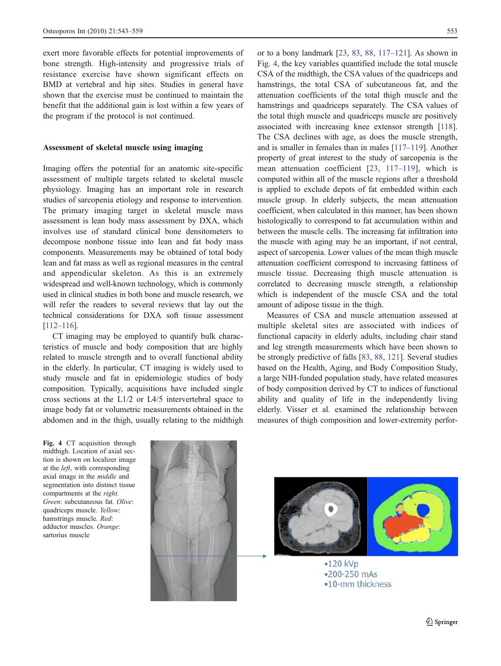exert more favorable effects for potential improvements of bone strength. High-intensity and progressive trials of resistance exercise have shown significant effects on BMD at vertebral and hip sites. Studies in general have shown that the exercise must be continued to maintain the benefit that the additional gain is lost within a few years of the program if the protocol is not continued.

# Assessment of skeletal muscle using imaging

Imaging offers the potential for an anatomic site-specific assessment of multiple targets related to skeletal muscle physiology. Imaging has an important role in research studies of sarcopenia etiology and response to intervention. The primary imaging target in skeletal muscle mass assessment is lean body mass assessment by DXA, which involves use of standard clinical bone densitometers to decompose nonbone tissue into lean and fat body mass components. Measurements may be obtained of total body lean and fat mass as well as regional measures in the central and appendicular skeleton. As this is an extremely widespread and well-known technology, which is commonly used in clinical studies in both bone and muscle research, we will refer the readers to several reviews that lay out the technical considerations for DXA soft tissue assessment [\[112](#page-15-0)–[116\]](#page-15-0).

CT imaging may be employed to quantify bulk characteristics of muscle and body composition that are highly related to muscle strength and to overall functional ability in the elderly. In particular, CT imaging is widely used to study muscle and fat in epidemiologic studies of body composition. Typically, acquisitions have included single cross sections at the L1/2 or L4/5 intervertebral space to image body fat or volumetric measurements obtained in the abdomen and in the thigh, usually relating to the midthigh or to a bony landmark [[23,](#page-13-0) [83](#page-14-0), [88](#page-14-0), [117](#page-15-0)–[121](#page-15-0)]. As shown in Fig. 4, the key variables quantified include the total muscle CSA of the midthigh, the CSA values of the quadriceps and hamstrings, the total CSA of subcutaneous fat, and the attenuation coefficients of the total thigh muscle and the hamstrings and quadriceps separately. The CSA values of the total thigh muscle and quadriceps muscle are positively associated with increasing knee extensor strength [[118\]](#page-15-0). The CSA declines with age, as does the muscle strength, and is smaller in females than in males [[117](#page-15-0)–[119](#page-15-0)]. Another property of great interest to the study of sarcopenia is the mean attenuation coefficient [\[23,](#page-13-0) [117](#page-15-0)–[119\]](#page-15-0), which is computed within all of the muscle regions after a threshold is applied to exclude depots of fat embedded within each muscle group. In elderly subjects, the mean attenuation coefficient, when calculated in this manner, has been shown histologically to correspond to fat accumulation within and between the muscle cells. The increasing fat infiltration into the muscle with aging may be an important, if not central, aspect of sarcopenia. Lower values of the mean thigh muscle attenuation coefficient correspond to increasing fattiness of muscle tissue. Decreasing thigh muscle attenuation is correlated to decreasing muscle strength, a relationship which is independent of the muscle CSA and the total amount of adipose tissue in the thigh.

Measures of CSA and muscle attenuation assessed at multiple skeletal sites are associated with indices of functional capacity in elderly adults, including chair stand and leg strength measurements which have been shown to be strongly predictive of falls [[83,](#page-14-0) [88](#page-14-0), [121\]](#page-15-0). Several studies based on the Health, Aging, and Body Composition Study, a large NIH-funded population study, have related measures of body composition derived by CT to indices of functional ability and quality of life in the independently living elderly. Visser et al. examined the relationship between measures of thigh composition and lower-extremity perfor-

Fig. 4 CT acquisition through midthigh. Location of axial section is shown on localizer image at the left, with corresponding axial image in the middle and segmentation into distinct tissue compartments at the right. Green: subcutaneous fat. Olive: quadriceps muscle. Yellow: hamstrings muscle. Red: adductor muscles. Orange: sartorius muscle



 $•120$  kVp •200-250 mAs •10-mm thickness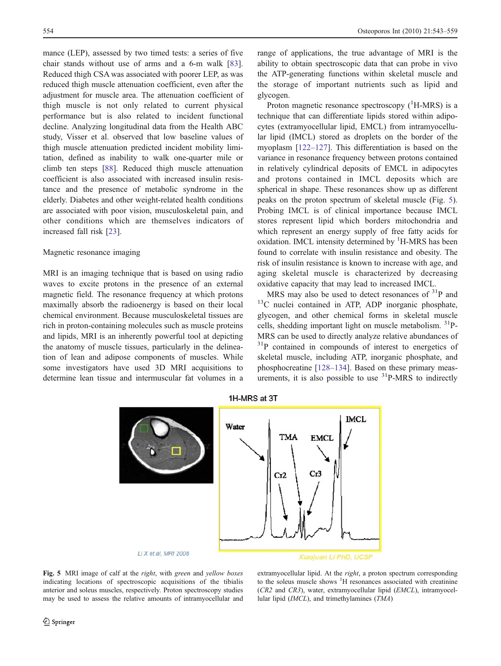mance (LEP), assessed by two timed tests: a series of five chair stands without use of arms and a 6-m walk [\[83](#page-14-0)]. Reduced thigh CSA was associated with poorer LEP, as was reduced thigh muscle attenuation coefficient, even after the adjustment for muscle area. The attenuation coefficient of thigh muscle is not only related to current physical performance but is also related to incident functional decline. Analyzing longitudinal data from the Health ABC study, Visser et al. observed that low baseline values of thigh muscle attenuation predicted incident mobility limitation, defined as inability to walk one-quarter mile or climb ten steps [[88\]](#page-14-0). Reduced thigh muscle attenuation coefficient is also associated with increased insulin resistance and the presence of metabolic syndrome in the elderly. Diabetes and other weight-related health conditions are associated with poor vision, musculoskeletal pain, and other conditions which are themselves indicators of increased fall risk [\[23](#page-13-0)].

# Magnetic resonance imaging

MRI is an imaging technique that is based on using radio waves to excite protons in the presence of an external magnetic field. The resonance frequency at which protons maximally absorb the radioenergy is based on their local chemical environment. Because musculoskeletal tissues are rich in proton-containing molecules such as muscle proteins and lipids, MRI is an inherently powerful tool at depicting the anatomy of muscle tissues, particularly in the delineation of lean and adipose components of muscles. While some investigators have used 3D MRI acquisitions to determine lean tissue and intermuscular fat volumes in a

range of applications, the true advantage of MRI is the ability to obtain spectroscopic data that can probe in vivo the ATP-generating functions within skeletal muscle and the storage of important nutrients such as lipid and glycogen.

Proton magnetic resonance spectroscopy  $(^1H-MRS)$  is a technique that can differentiate lipids stored within adipocytes (extramyocellular lipid, EMCL) from intramyocellular lipid (IMCL) stored as droplets on the border of the myoplasm [[122](#page-15-0)–[127\]](#page-16-0). This differentiation is based on the variance in resonance frequency between protons contained in relatively cylindrical deposits of EMCL in adipocytes and protons contained in IMCL deposits which are spherical in shape. These resonances show up as different peaks on the proton spectrum of skeletal muscle (Fig. 5). Probing IMCL is of clinical importance because IMCL stores represent lipid which borders mitochondria and which represent an energy supply of free fatty acids for oxidation. IMCL intensity determined by <sup>1</sup>H-MRS has been found to correlate with insulin resistance and obesity. The risk of insulin resistance is known to increase with age, and aging skeletal muscle is characterized by decreasing oxidative capacity that may lead to increased IMCL.

MRS may also be used to detect resonances of  $31P$  and <sup>13</sup>C nuclei contained in ATP, ADP inorganic phosphate, glycogen, and other chemical forms in skeletal muscle cells, shedding important light on muscle metabolism.  $3^{31}P-$ MRS can be used to directly analyze relative abundances of <sup>31</sup>P contained in compounds of interest to energetics of skeletal muscle, including ATP, inorganic phosphate, and phosphocreatine [[128](#page-16-0)–[134\]](#page-16-0). Based on these primary measurements, it is also possible to use  $31P-MRS$  to indirectly



Fig. 5 MRI image of calf at the right, with green and yellow boxes indicating locations of spectroscopic acquisitions of the tibialis anterior and soleus muscles, respectively. Proton spectroscopy studies may be used to assess the relative amounts of intramyocellular and

extramyocellular lipid. At the right, a proton spectrum corresponding to the soleus muscle shows <sup>1</sup>H resonances associated with creatinine (CR2 and CR3), water, extramyocellular lipid (EMCL), intramyocellular lipid (IMCL), and trimethylamines (TMA)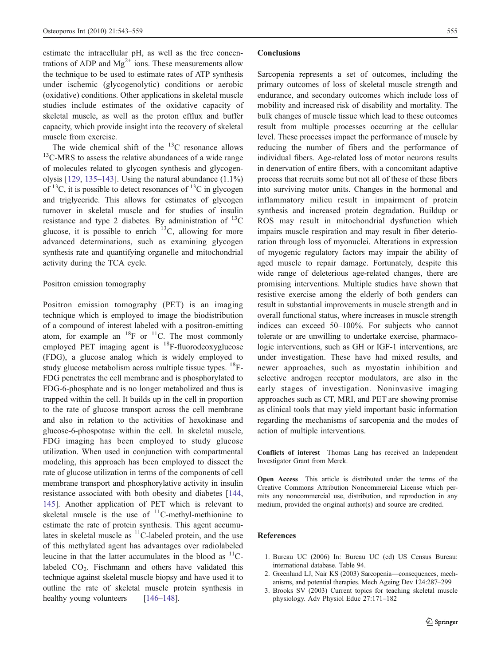<span id="page-12-0"></span>estimate the intracellular pH, as well as the free concentrations of ADP and  $Mg^{2+}$  ions. These measurements allow the technique to be used to estimate rates of ATP synthesis under ischemic (glycogenolytic) conditions or aerobic (oxidative) conditions. Other applications in skeletal muscle studies include estimates of the oxidative capacity of skeletal muscle, as well as the proton efflux and buffer capacity, which provide insight into the recovery of skeletal muscle from exercise.

The wide chemical shift of the  $13C$  resonance allows  $13$ C-MRS to assess the relative abundances of a wide range of molecules related to glycogen synthesis and glycogenolysis [\[129](#page-16-0), [135](#page-16-0)–[143\]](#page-16-0). Using the natural abundance (1.1%) of  $^{13}$ C, it is possible to detect resonances of  $^{13}$ C in glycogen and triglyceride. This allows for estimates of glycogen turnover in skeletal muscle and for studies of insulin resistance and type 2 diabetes. By administration of  $^{13}$ C glucose, it is possible to enrich  $^{13}$ C, allowing for more advanced determinations, such as examining glycogen synthesis rate and quantifying organelle and mitochondrial activity during the TCA cycle.

# Positron emission tomography

Positron emission tomography (PET) is an imaging technique which is employed to image the biodistribution of a compound of interest labeled with a positron-emitting atom, for example an  $^{18}$ F or  $^{11}$ C. The most commonly employed PET imaging agent is  $^{18}$ F-fluorodeoxyglucose (FDG), a glucose analog which is widely employed to study glucose metabolism across multiple tissue types. <sup>18</sup>F-FDG penetrates the cell membrane and is phosphorylated to FDG-6-phosphate and is no longer metabolized and thus is trapped within the cell. It builds up in the cell in proportion to the rate of glucose transport across the cell membrane and also in relation to the activities of hexokinase and glucose-6-phospotase within the cell. In skeletal muscle, FDG imaging has been employed to study glucose utilization. When used in conjunction with compartmental modeling, this approach has been employed to dissect the rate of glucose utilization in terms of the components of cell membrane transport and phosphorylative activity in insulin resistance associated with both obesity and diabetes [[144,](#page-16-0) [145\]](#page-16-0). Another application of PET which is relevant to skeletal muscle is the use of  $^{11}$ C-methyl-methionine to estimate the rate of protein synthesis. This agent accumulates in skeletal muscle as  ${}^{11}$ C-labeled protein, and the use of this methylated agent has advantages over radiolabeled leucine in that the latter accumulates in the blood as  ${}^{11}C$ labeled  $CO<sub>2</sub>$ . Fischmann and others have validated this technique against skeletal muscle biopsy and have used it to outline the rate of skeletal muscle protein synthesis in healthy young volunteers [[146](#page-16-0)–[148](#page-16-0)].

#### Conclusions

Sarcopenia represents a set of outcomes, including the primary outcomes of loss of skeletal muscle strength and endurance, and secondary outcomes which include loss of mobility and increased risk of disability and mortality. The bulk changes of muscle tissue which lead to these outcomes result from multiple processes occurring at the cellular level. These processes impact the performance of muscle by reducing the number of fibers and the performance of individual fibers. Age-related loss of motor neurons results in denervation of entire fibers, with a concomitant adaptive process that recruits some but not all of these of these fibers into surviving motor units. Changes in the hormonal and inflammatory milieu result in impairment of protein synthesis and increased protein degradation. Buildup or ROS may result in mitochondrial dysfunction which impairs muscle respiration and may result in fiber deterioration through loss of myonuclei. Alterations in expression of myogenic regulatory factors may impair the ability of aged muscle to repair damage. Fortunately, despite this wide range of deleterious age-related changes, there are promising interventions. Multiple studies have shown that resistive exercise among the elderly of both genders can result in substantial improvements in muscle strength and in overall functional status, where increases in muscle strength indices can exceed 50–100%. For subjects who cannot tolerate or are unwilling to undertake exercise, pharmacologic interventions, such as GH or IGF-1 interventions, are under investigation. These have had mixed results, and newer approaches, such as myostatin inhibition and selective androgen receptor modulators, are also in the early stages of investigation. Noninvasive imaging approaches such as CT, MRI, and PET are showing promise as clinical tools that may yield important basic information regarding the mechanisms of sarcopenia and the modes of action of multiple interventions.

Conflicts of interest Thomas Lang has received an Independent Investigator Grant from Merck.

Open Access This article is distributed under the terms of the Creative Commons Attribution Noncommercial License which permits any noncommercial use, distribution, and reproduction in any medium, provided the original author(s) and source are credited.

#### References

- 1. Bureau UC (2006) In: Bureau UC (ed) US Census Bureau: international database. Table 94.
- 2. Greenlund LJ, Nair KS (2003) Sarcopenia—consequences, mechanisms, and potential therapies. Mech Ageing Dev 124:287–299
- 3. Brooks SV (2003) Current topics for teaching skeletal muscle physiology. Adv Physiol Educ 27:171–182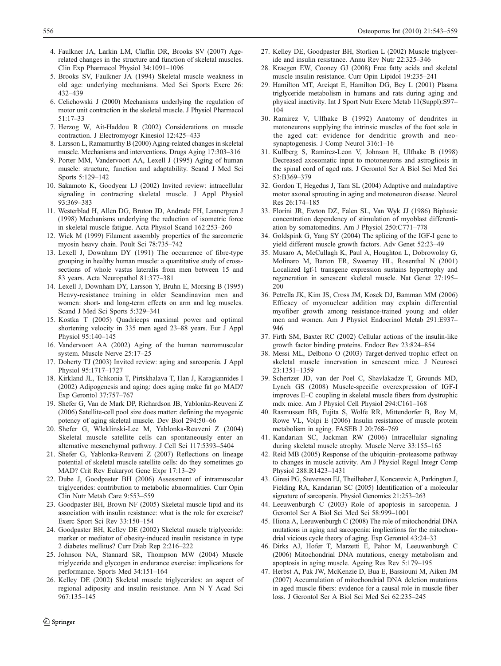- <span id="page-13-0"></span>4. Faulkner JA, Larkin LM, Claflin DR, Brooks SV (2007) Agerelated changes in the structure and function of skeletal muscles. Clin Exp Pharmacol Physiol 34:1091–1096
- 5. Brooks SV, Faulkner JA (1994) Skeletal muscle weakness in old age: underlying mechanisms. Med Sci Sports Exerc 26: 432–439
- 6. Celichowski J (2000) Mechanisms underlying the regulation of motor unit contraction in the skeletal muscle. J Physiol Pharmacol 51:17–33
- 7. Herzog W, Ait-Haddou R (2002) Considerations on muscle contraction. J Electromyogr Kinesiol 12:425–433
- 8. Larsson L, Ramamurthy B (2000) Aging-related changes in skeletal muscle. Mechanisms and interventions. Drugs Aging 17:303–316
- 9. Porter MM, Vandervoort AA, Lexell J (1995) Aging of human muscle: structure, function and adaptability. Scand J Med Sci Sports 5:129–142
- 10. Sakamoto K, Goodyear LJ (2002) Invited review: intracellular signaling in contracting skeletal muscle. J Appl Physiol 93:369–383
- 11. Westerblad H, Allen DG, Bruton JD, Andrade FH, Lannergren J (1998) Mechanisms underlying the reduction of isometric force in skeletal muscle fatigue. Acta Physiol Scand 162:253–260
- 12. Wick M (1999) Filament assembly properties of the sarcomeric myosin heavy chain. Poult Sci 78:735–742
- 13. Lexell J, Downham DY (1991) The occurrence of fibre-type grouping in healthy human muscle: a quantitative study of crosssections of whole vastus lateralis from men between 15 and 83 years. Acta Neuropathol 81:377–381
- 14. Lexell J, Downham DY, Larsson Y, Bruhn E, Morsing B (1995) Heavy-resistance training in older Scandinavian men and women: short- and long-term effects on arm and leg muscles. Scand J Med Sci Sports 5:329–341
- 15. Kostka T (2005) Quadriceps maximal power and optimal shortening velocity in 335 men aged 23–88 years. Eur J Appl Physiol 95:140–145
- 16. Vandervoort AA (2002) Aging of the human neuromuscular system. Muscle Nerve 25:17–25
- 17. Doherty TJ (2003) Invited review: aging and sarcopenia. J Appl Physiol 95:1717–1727
- 18. Kirkland JL, Tchkonia T, Pirtskhalava T, Han J, Karagiannides I (2002) Adipogenesis and aging: does aging make fat go MAD? Exp Gerontol 37:757–767
- 19. Shefer G, Van de Mark DP, Richardson JB, Yablonka-Reuveni Z (2006) Satellite-cell pool size does matter: defining the myogenic potency of aging skeletal muscle. Dev Biol 294:50–66
- 20. Shefer G, Wleklinski-Lee M, Yablonka-Reuveni Z (2004) Skeletal muscle satellite cells can spontaneously enter an alternative mesenchymal pathway. J Cell Sci 117:5393–5404
- 21. Shefer G, Yablonka-Reuveni Z (2007) Reflections on lineage potential of skeletal muscle satellite cells: do they sometimes go MAD? Crit Rev Eukaryot Gene Expr 17:13–29
- 22. Dube J, Goodpaster BH (2006) Assessment of intramuscular triglycerides: contribution to metabolic abnormalities. Curr Opin Clin Nutr Metab Care 9:553–559
- 23. Goodpaster BH, Brown NF (2005) Skeletal muscle lipid and its association with insulin resistance: what is the role for exercise? Exerc Sport Sci Rev 33:150–154
- 24. Goodpaster BH, Kelley DE (2002) Skeletal muscle triglyceride: marker or mediator of obesity-induced insulin resistance in type 2 diabetes mellitus? Curr Diab Rep 2:216–222
- 25. Johnson NA, Stannard SR, Thompson MW (2004) Muscle triglyceride and glycogen in endurance exercise: implications for performance. Sports Med 34:151–164
- 26. Kelley DE (2002) Skeletal muscle triglycerides: an aspect of regional adiposity and insulin resistance. Ann N Y Acad Sci 967:135–145
- 27. Kelley DE, Goodpaster BH, Storlien L (2002) Muscle triglyceride and insulin resistance. Annu Rev Nutr 22:325–346
- 28. Kraegen EW, Cooney GJ (2008) Free fatty acids and skeletal muscle insulin resistance. Curr Opin Lipidol 19:235–241
- 29. Hamilton MT, Areiqat E, Hamilton DG, Bey L (2001) Plasma triglyceride metabolism in humans and rats during aging and physical inactivity. Int J Sport Nutr Exerc Metab 11(Suppl):S97– 104
- 30. Ramirez V, Ulfhake B (1992) Anatomy of dendrites in motoneurons supplying the intrinsic muscles of the foot sole in the aged cat: evidence for dendritic growth and neosynaptogenesis. J Comp Neurol 316:1–16
- 31. Kullberg S, Ramirez-Leon V, Johnson H, Ulfhake B (1998) Decreased axosomatic input to motoneurons and astrogliosis in the spinal cord of aged rats. J Gerontol Ser A Biol Sci Med Sci 53:B369–379
- 32. Gordon T, Hegedus J, Tam SL (2004) Adaptive and maladaptive motor axonal sprouting in aging and motoneuron disease. Neurol Res 26:174–185
- 33. Florini JR, Ewton DZ, Falen SL, Van Wyk JJ (1986) Biphasic concentration dependency of stimulation of myoblast differentiation by somatomedins. Am J Physiol 250:C771–778
- 34. Goldspink G, Yang SY (2004) The splicing of the IGF-I gene to yield different muscle growth factors. Adv Genet 52:23–49
- 35. Musaro A, McCullagh K, Paul A, Houghton L, Dobrowolny G, Molinaro M, Barton ER, Sweeney HL, Rosenthal N (2001) Localized Igf-1 transgene expression sustains hypertrophy and regeneration in senescent skeletal muscle. Nat Genet 27:195– 200
- 36. Petrella JK, Kim JS, Cross JM, Kosek DJ, Bamman MM (2006) Efficacy of myonuclear addition may explain differential myofiber growth among resistance-trained young and older men and women. Am J Physiol Endocrinol Metab 291:E937– 946
- 37. Firth SM, Baxter RC (2002) Cellular actions of the insulin-like growth factor binding proteins. Endocr Rev 23:824–854
- 38. Messi ML, Delbono O (2003) Target-derived trophic effect on skeletal muscle innervation in senescent mice. J Neurosci 23:1351–1359
- 39. Schertzer JD, van der Poel C, Shavlakadze T, Grounds MD, Lynch GS (2008) Muscle-specific overexpression of IGF-I improves E–C coupling in skeletal muscle fibers from dystrophic mdx mice. Am J Physiol Cell Physiol 294:C161–168
- 40. Rasmussen BB, Fujita S, Wolfe RR, Mittendorfer B, Roy M, Rowe VL, Volpi E (2006) Insulin resistance of muscle protein metabolism in aging. FASEB J 20:768–769
- 41. Kandarian SC, Jackman RW (2006) Intracellular signaling during skeletal muscle atrophy. Muscle Nerve 33:155–165
- 42. Reid MB (2005) Response of the ubiquitin–proteasome pathway to changes in muscle activity. Am J Physiol Regul Integr Comp Physiol 288:R1423–1431
- 43. Giresi PG, Stevenson EJ, Theilhaber J, Koncarevic A, Parkington J, Fielding RA, Kandarian SC (2005) Identification of a molecular signature of sarcopenia. Physiol Genomics 21:253–263
- 44. Leeuwenburgh C (2003) Role of apoptosis in sarcopenia. J Gerontol Ser A Biol Sci Med Sci 58:999–1001
- 45. Hiona A, Leeuwenburgh C (2008) The role of mitochondrial DNA mutations in aging and sarcopenia: implications for the mitochondrial vicious cycle theory of aging. Exp Gerontol 43:24–33
- 46. Dirks AJ, Hofer T, Marzetti E, Pahor M, Leeuwenburgh C (2006) Mitochondrial DNA mutations, energy metabolism and apoptosis in aging muscle. Ageing Res Rev 5:179–195
- 47. Herbst A, Pak JW, McKenzie D, Bua E, Bassiouni M, Aiken JM (2007) Accumulation of mitochondrial DNA deletion mutations in aged muscle fibers: evidence for a causal role in muscle fiber loss. J Gerontol Ser A Biol Sci Med Sci 62:235–245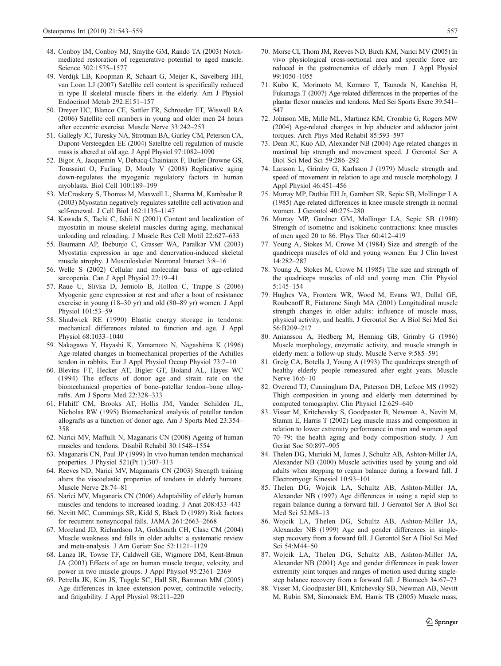- <span id="page-14-0"></span>48. Conboy IM, Conboy MJ, Smythe GM, Rando TA (2003) Notchmediated restoration of regenerative potential to aged muscle. Science 302:1575–1577
- 49. Verdijk LB, Koopman R, Schaart G, Meijer K, Savelberg HH, van Loon LJ (2007) Satellite cell content is specifically reduced in type II skeletal muscle fibers in the elderly. Am J Physiol Endocrinol Metab 292:E151–157
- 50. Dreyer HC, Blanco CE, Sattler FR, Schroeder ET, Wiswell RA (2006) Satellite cell numbers in young and older men 24 hours after eccentric exercise. Muscle Nerve 33:242–253
- 51. Gallegly JC, Turesky NA, Strotman BA, Gurley CM, Peterson CA, Dupont-Versteegden EE (2004) Satellite cell regulation of muscle mass is altered at old age. J Appl Physiol 97:1082–1090
- 52. Bigot A, Jacquemin V, Debacq-Chainiaux F, Butler-Browne GS, Toussaint O, Furling D, Mouly V (2008) Replicative aging down-regulates the myogenic regulatory factors in human myoblasts. Biol Cell 100:189–199
- 53. McCroskery S, Thomas M, Maxwell L, Sharma M, Kambadur R (2003) Myostatin negatively regulates satellite cell activation and self-renewal. J Cell Biol 162:1135–1147
- 54. Kawada S, Tachi C, Ishii N (2001) Content and localization of myostatin in mouse skeletal muscles during aging, mechanical unloading and reloading. J Muscle Res Cell Motil 22:627–633
- 55. Baumann AP, Ibebunjo C, Grasser WA, Paralkar VM (2003) Myostatin expression in age and denervation-induced skeletal muscle atrophy. J Musculoskelet Neuronal Interact 3:8–16
- 56. Welle S (2002) Cellular and molecular basis of age-related sarcopenia. Can J Appl Physiol 27:19–41
- 57. Raue U, Slivka D, Jemiolo B, Hollon C, Trappe S (2006) Myogenic gene expression at rest and after a bout of resistance exercise in young (18–30 yr) and old (80–89 yr) women. J Appl Physiol 101:53–59
- 58. Shadwick RE (1990) Elastic energy storage in tendons: mechanical differences related to function and age. J Appl Physiol 68:1033–1040
- 59. Nakagawa Y, Hayashi K, Yamamoto N, Nagashima K (1996) Age-related changes in biomechanical properties of the Achilles tendon in rabbits. Eur J Appl Physiol Occup Physiol 73:7–10
- 60. Blevins FT, Hecker AT, Bigler GT, Boland AL, Hayes WC (1994) The effects of donor age and strain rate on the biomechanical properties of bone–patellar tendon–bone allografts. Am J Sports Med 22:328–333
- 61. Flahiff CM, Brooks AT, Hollis JM, Vander Schilden JL, Nicholas RW (1995) Biomechanical analysis of patellar tendon allografts as a function of donor age. Am J Sports Med 23:354– 358
- 62. Narici MV, Maffulli N, Maganaris CN (2008) Ageing of human muscles and tendons. Disabil Rehabil 30:1548–1554
- 63. Maganaris CN, Paul JP (1999) In vivo human tendon mechanical properties. J Physiol 521(Pt 1):307–313
- 64. Reeves ND, Narici MV, Maganaris CN (2003) Strength training alters the viscoelastic properties of tendons in elderly humans. Muscle Nerve 28:74–81
- 65. Narici MV, Maganaris CN (2006) Adaptability of elderly human muscles and tendons to increased loading. J Anat 208:433–443
- 66. Nevitt MC, Cummings SR, Kidd S, Black D (1989) Risk factors for recurrent nonsyncopal falls. JAMA 261:2663–2668
- 67. Moreland JD, Richardson JA, Goldsmith CH, Clase CM (2004) Muscle weakness and falls in older adults: a systematic review and meta-analysis. J Am Geriatr Soc 52:1121–1129
- 68. Lanza IR, Towse TF, Caldwell GE, Wigmore DM, Kent-Braun JA (2003) Effects of age on human muscle torque, velocity, and power in two muscle groups. J Appl Physiol 95:2361–2369
- 69. Petrella JK, Kim JS, Tuggle SC, Hall SR, Bamman MM (2005) Age differences in knee extension power, contractile velocity, and fatigability. J Appl Physiol 98:211–220
- 70. Morse CI, Thom JM, Reeves ND, Birch KM, Narici MV (2005) In vivo physiological cross-sectional area and specific force are reduced in the gastrocnemius of elderly men. J Appl Physiol 99:1050–1055
- 71. Kubo K, Morimoto M, Komuro T, Tsunoda N, Kanehisa H, Fukunaga T (2007) Age-related differences in the properties of the plantar flexor muscles and tendons. Med Sci Sports Exerc 39:541– 547
- 72. Johnson ME, Mille ML, Martinez KM, Crombie G, Rogers MW (2004) Age-related changes in hip abductor and adductor joint torques. Arch Phys Med Rehabil 85:593–597
- 73. Dean JC, Kuo AD, Alexander NB (2004) Age-related changes in maximal hip strength and movement speed. J Gerontol Ser A Biol Sci Med Sci 59:286–292
- 74. Larsson L, Grimby G, Karlsson J (1979) Muscle strength and speed of movement in relation to age and muscle morphology. J Appl Physiol 46:451–456
- 75. Murray MP, Duthie EH Jr, Gambert SR, Sepic SB, Mollinger LA (1985) Age-related differences in knee muscle strength in normal women. J Gerontol 40:275–280
- 76. Murray MP, Gardner GM, Mollinger LA, Sepic SB (1980) Strength of isometric and isokinetic contractions: knee muscles of men aged 20 to 86. Phys Ther 60:412–419
- 77. Young A, Stokes M, Crowe M (1984) Size and strength of the quadriceps muscles of old and young women. Eur J Clin Invest 14:282–287
- 78. Young A, Stokes M, Crowe M (1985) The size and strength of the quadriceps muscles of old and young men. Clin Physiol 5:145–154
- 79. Hughes VA, Frontera WR, Wood M, Evans WJ, Dallal GE, Roubenoff R, Fiatarone Singh MA (2001) Longitudinal muscle strength changes in older adults: influence of muscle mass, physical activity, and health. J Gerontol Ser A Biol Sci Med Sci 56:B209–217
- 80. Aniansson A, Hedberg M, Henning GB, Grimby G (1986) Muscle morphology, enzymatic activity, and muscle strength in elderly men: a follow-up study. Muscle Nerve 9:585–591
- 81. Greig CA, Botella J, Young A (1993) The quadriceps strength of healthy elderly people remeasured after eight years. Muscle Nerve 16:6–10
- 82. Overend TJ, Cunningham DA, Paterson DH, Lefcoe MS (1992) Thigh composition in young and elderly men determined by computed tomography. Clin Physiol 12:629–640
- 83. Visser M, Kritchevsky S, Goodpaster B, Newman A, Nevitt M, Stamm E, Harris T (2002) Leg muscle mass and composition in relation to lower extremity performance in men and women aged 70–79: the health aging and body composition study. J Am Geriat Soc 50:897–905
- 84. Thelen DG, Muriuki M, James J, Schultz AB, Ashton-Miller JA, Alexander NB (2000) Muscle activities used by young and old adults when stepping to regain balance during a forward fall. J Electromyogr Kinesiol 10:93–101
- 85. Thelen DG, Wojcik LA, Schultz AB, Ashton-Miller JA, Alexander NB (1997) Age differences in using a rapid step to regain balance during a forward fall. J Gerontol Ser A Biol Sci Med Sci 52:M8–13
- 86. Wojcik LA, Thelen DG, Schultz AB, Ashton-Miller JA, Alexander NB (1999) Age and gender differences in singlestep recovery from a forward fall. J Gerontol Ser A Biol Sci Med Sci 54:M44–50
- 87. Wojcik LA, Thelen DG, Schultz AB, Ashton-Miller JA, Alexander NB (2001) Age and gender differences in peak lower extremity joint torques and ranges of motion used during singlestep balance recovery from a forward fall. J Biomech 34:67–73
- 88. Visser M, Goodpaster BH, Kritchevsky SB, Newman AB, Nevitt M, Rubin SM, Simonsick EM, Harris TB (2005) Muscle mass,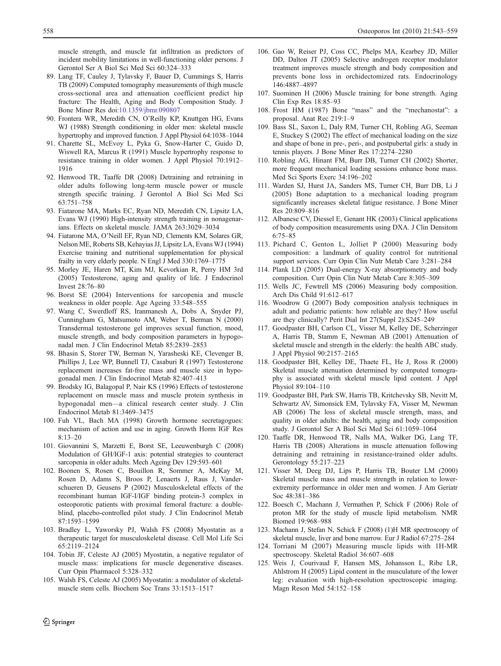<span id="page-15-0"></span>muscle strength, and muscle fat infiltration as predictors of incident mobility limitations in well-functioning older persons. J Gerontol Ser A Biol Sci Med Sci 60:324–333

- 89. Lang TF, Cauley J, Tylavsky F, Bauer D, Cummings S, Harris TB (2009) Computed tomography measurements of thigh muscle cross-sectional area and attenuation coefficient predict hip fracture: The Health, Aging and Body Composition Study. J Bone Miner Res doi:[10.1359/jbmr.090807](http://dx.doi.org/10.1359/jbmr.090807)
- 90. Frontera WR, Meredith CN, O'Reilly KP, Knuttgen HG, Evans WJ (1988) Strength conditioning in older men: skeletal muscle hypertrophy and improved function. J Appl Physiol 64:1038–1044
- 91. Charette SL, McEvoy L, Pyka G, Snow-Harter C, Guido D, Wiswell RA, Marcus R (1991) Muscle hypertrophy response to resistance training in older women. J Appl Physiol 70:1912– 1916
- 92. Henwood TR, Taaffe DR (2008) Detraining and retraining in older adults following long-term muscle power or muscle strength specific training. J Gerontol A Biol Sci Med Sci 63:751–758
- 93. Fiatarone MA, Marks EC, Ryan ND, Meredith CN, Lipsitz LA, Evans WJ (1990) High-intensity strength training in nonagenarians. Effects on skeletal muscle. JAMA 263:3029–3034
- 94. Fiatarone MA, O'Neill EF, Ryan ND, Clements KM, Solares GR, Nelson ME, Roberts SB, Kehayias JJ, Lipsitz LA, Evans WJ (1994) Exercise training and nutritional supplementation for physical frailty in very elderly people. N Engl J Med 330:1769–1775
- 95. Morley JE, Haren MT, Kim MJ, Kevorkian R, Perry HM 3rd (2005) Testosterone, aging and quality of life. J Endocrinol Invest 28:76–80
- 96. Borst SE (2004) Interventions for sarcopenia and muscle weakness in older people. Age Ageing 33:548–555
- 97. Wang C, Swerdloff RS, Iranmanesh A, Dobs A, Snyder PJ, Cunningham G, Matsumoto AM, Weber T, Berman N (2000) Transdermal testosterone gel improves sexual function, mood, muscle strength, and body composition parameters in hypogonadal men. J Clin Endocrinol Metab 85:2839–2853
- 98. Bhasin S, Storer TW, Berman N, Yarasheski KE, Clevenger B, Phillips J, Lee WP, Bunnell TJ, Casaburi R (1997) Testosterone replacement increases fat-free mass and muscle size in hypogonadal men. J Clin Endocrinol Metab 82:407–413
- 99. Brodsky IG, Balagopal P, Nair KS (1996) Effects of testosterone replacement on muscle mass and muscle protein synthesis in hypogonadal men—a clinical research center study. J Clin Endocrinol Metab 81:3469–3475
- 100. Fuh VL, Bach MA (1998) Growth hormone secretagogues: mechanism of action and use in aging. Growth Horm IGF Res 8:13–20
- 101. Giovannini S, Marzetti E, Borst SE, Leeuwenburgh C (2008) Modulation of GH/IGF-1 axis: potential strategies to counteract sarcopenia in older adults. Mech Ageing Dev 129:593–601
- 102. Boonen S, Rosen C, Bouillon R, Sommer A, McKay M, Rosen D, Adams S, Broos P, Lenaerts J, Raus J, Vanderschueren D, Geusens P (2002) Musculoskeletal effects of the recombinant human IGF-I/IGF binding protein-3 complex in osteoporotic patients with proximal femoral fracture: a doubleblind, placebo-controlled pilot study. J Clin Endocrinol Metab 87:1593–1599
- 103. Bradley L, Yaworsky PJ, Walsh FS (2008) Myostatin as a therapeutic target for musculoskeletal disease. Cell Mol Life Sci 65:2119–2124
- 104. Tobin JF, Celeste AJ (2005) Myostatin, a negative regulator of muscle mass: implications for muscle degenerative diseases. Curr Opin Pharmacol 5:328–332
- 105. Walsh FS, Celeste AJ (2005) Myostatin: a modulator of skeletalmuscle stem cells. Biochem Soc Trans 33:1513–1517
- 106. Gao W, Reiser PJ, Coss CC, Phelps MA, Kearbey JD, Miller DD, Dalton JT (2005) Selective androgen receptor modulator treatment improves muscle strength and body composition and prevents bone loss in orchidectomized rats. Endocrinology 146:4887–4897
- 107. Suominen H (2006) Muscle training for bone strength. Aging Clin Exp Res 18:85–93
- 108. Frost HM (1987) Bone "mass" and the "mechanostat": a proposal. Anat Rec 219:1–9
- 109. Bass SL, Saxon L, Daly RM, Turner CH, Robling AG, Seeman E, Stuckey S (2002) The effect of mechanical loading on the size and shape of bone in pre-, peri-, and postpubertal girls: a study in tennis players. J Bone Miner Res 17:2274–2280
- 110. Robling AG, Hinant FM, Burr DB, Turner CH (2002) Shorter, more frequent mechanical loading sessions enhance bone mass. Med Sci Sports Exerc 34:196–202
- 111. Warden SJ, Hurst JA, Sanders MS, Turner CH, Burr DB, Li J (2005) Bone adaptation to a mechanical loading program significantly increases skeletal fatigue resistance. J Bone Miner Res 20:809–816
- 112. Albanese CV, Diessel E, Genant HK (2003) Clinical applications of body composition measurements using DXA. J Clin Densitom 6:75–85
- 113. Pichard C, Genton L, Jolliet P (2000) Measuring body composition: a landmark of quality control for nutritional support services. Curr Opin Clin Nutr Metab Care 3:281–284
- 114. Plank LD (2005) Dual-energy X-ray absorptiometry and body composition. Curr Opin Clin Nutr Metab Care 8:305–309
- 115. Wells JC, Fewtrell MS (2006) Measuring body composition. Arch Dis Child 91:612–617
- 116. Woodrow G (2007) Body composition analysis techniques in adult and pediatric patients: how reliable are they? How useful are they clinically? Perit Dial Int 27(Suppl 2):S245–249
- 117. Goodpaster BH, Carlson CL, Visser M, Kelley DE, Scherzinger A, Harris TB, Stamm E, Newman AB (2001) Attenuation of skeletal muscle and strength in the elderly: the health ABC study. J Appl Physiol 90:2157–2165
- 118. Goodpaster BH, Kelley DE, Thaete FL, He J, Ross R (2000) Skeletal muscle attenuation determined by computed tomography is associated with skeletal muscle lipid content. J Appl Physiol 89:104–110
- 119. Goodpaster BH, Park SW, Harris TB, Kritchevsky SB, Nevitt M, Schwartz AV, Simonsick EM, Tylavsky FA, Visser M, Newman AB (2006) The loss of skeletal muscle strength, mass, and quality in older adults: the health, aging and body composition study. J Gerontol Ser A Biol Sci Med Sci 61:1059–1064
- 120. Taaffe DR, Henwood TR, Nalls MA, Walker DG, Lang TF, Harris TB (2008) Alterations in muscle attenuation following detraining and retraining in resistance-trained older adults. Gerontology 55:217–223
- 121. Visser M, Deeg DJ, Lips P, Harris TB, Bouter LM (2000) Skeletal muscle mass and muscle strength in relation to lowerextremity performance in older men and women. J Am Geriatr Soc 48:381–386
- 122. Boesch C, Machann J, Vermathen P, Schick F (2006) Role of proton MR for the study of muscle lipid metabolism. NMR Biomed 19:968–988
- 123. Machann J, Stefan N, Schick F (2008) (1)H MR spectroscopy of skeletal muscle, liver and bone marrow. Eur J Radiol 67:275–284
- 124. Torriani M (2007) Measuring muscle lipids with 1H-MR spectroscopy. Skeletal Radiol 36:607–608
- 125. Weis J, Courivaud F, Hansen MS, Johansson L, Ribe LR, Ahlstrom H (2005) Lipid content in the musculature of the lower leg: evaluation with high-resolution spectroscopic imaging. Magn Reson Med 54:152–158